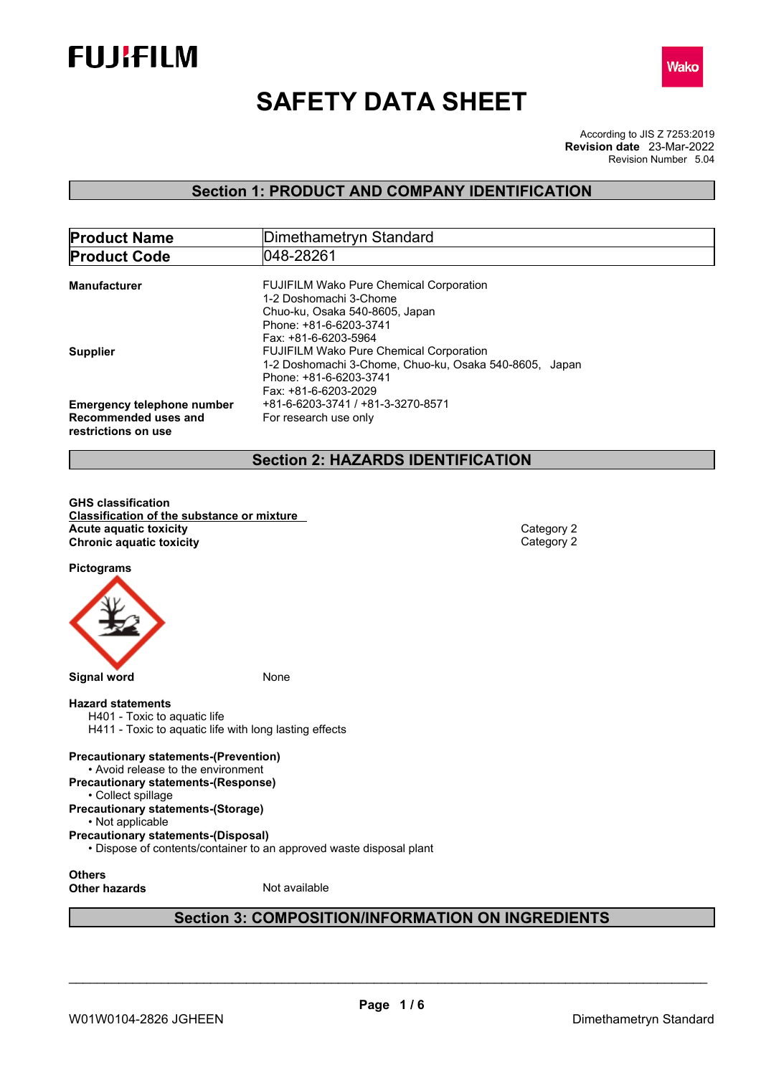



# **SAFETY DATA SHEET**

According to JIS Z 7253:2019 Revision Number 5.04 **Revision date** 23-Mar-2022

# **Section 1: PRODUCT AND COMPANY IDENTIFICATION**

| <b>Product Name</b>                                                              | Dimethametryn Standard                                                                                                                                     |  |
|----------------------------------------------------------------------------------|------------------------------------------------------------------------------------------------------------------------------------------------------------|--|
| <b>Product Code</b>                                                              | 048-28261                                                                                                                                                  |  |
| <b>Manufacturer</b>                                                              | <b>FUJIFILM Wako Pure Chemical Corporation</b><br>1-2 Doshomachi 3-Chome<br>Chuo-ku, Osaka 540-8605, Japan<br>Phone: +81-6-6203-3741                       |  |
| <b>Supplier</b>                                                                  | Fax: +81-6-6203-5964<br><b>FUJIFILM Wako Pure Chemical Corporation</b><br>1-2 Doshomachi 3-Chome, Chuo-ku, Osaka 540-8605, Japan<br>Phone: +81-6-6203-3741 |  |
| <b>Emergency telephone number</b><br>Recommended uses and<br>restrictions on use | Fax: +81-6-6203-2029<br>+81-6-6203-3741 / +81-3-3270-8571<br>For research use only                                                                         |  |

### **Section 2: HAZARDS IDENTIFICATION**

**GHS classification Classification of the substance or mixture Acute** aquatic toxicity<br> **Category 2**<br> **Chronic aquatic toxicity**<br>
Category 2 **Chronic aquatic toxicity** 

**Pictograms**



### **Hazard statements**

H401 - Toxic to aquatic life H411 - Toxic to aquatic life with long lasting effects

### **Precautionary statements-(Prevention)**

• Avoid release to the environment

**Precautionary statements-(Response)** • Collect spillage

### **Precautionary statements-(Storage)**

• Not applicable

**Precautionary statements-(Disposal)**

• Dispose of contents/container to an approved waste disposal plant

**Others**

**Other hazards** Not available

# **Section 3: COMPOSITION/INFORMATION ON INGREDIENTS**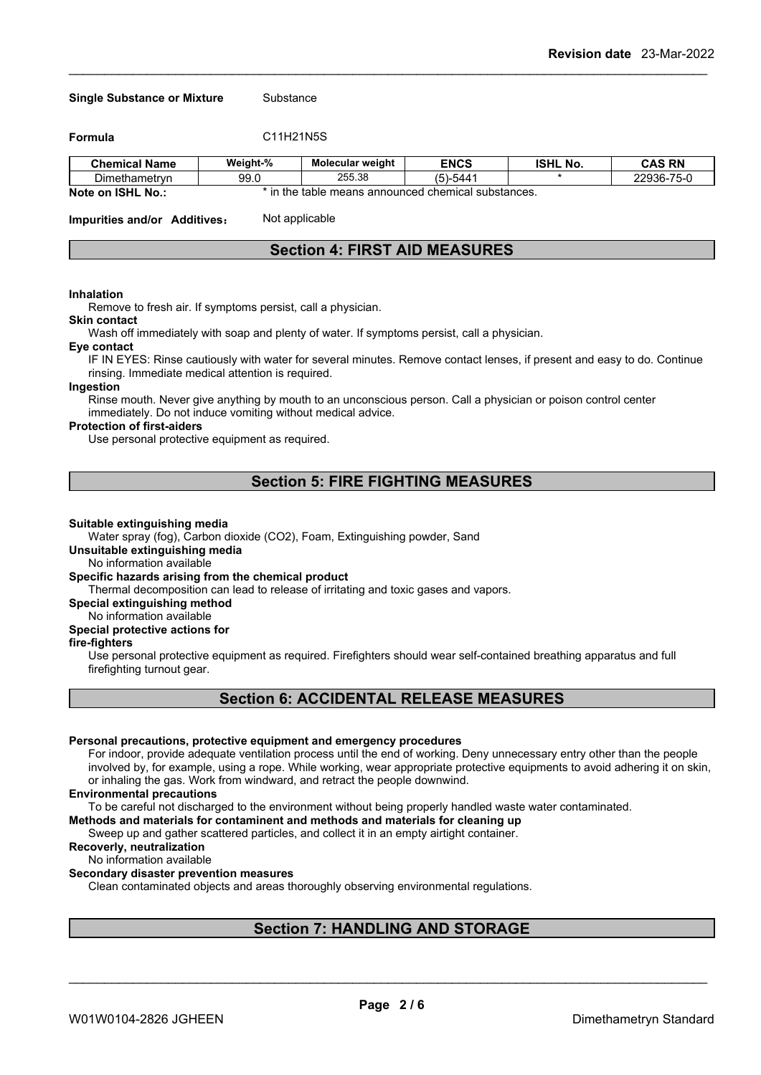#### **Single Substance or Mixture** Substance

**Formula** C11H21N5S

| <b>Chemical Name</b>                    | Weight-% | <b>Molecular weight</b>                          | <b>ENCS</b>                                                | ISHL<br>.No. | <b>CAS RN</b>                       |
|-----------------------------------------|----------|--------------------------------------------------|------------------------------------------------------------|--------------|-------------------------------------|
| $- \cdot$<br>Dimethametryn              | 99.0     | 25538<br>200.00                                  | <b>PAAA</b><br>$\overline{\phantom{0}}$<br>-544<br>$\cdot$ |              | 0000077<br>"25"<br>70-L<br>.<br>טטט |
| -10111<br><b>Mada</b> and<br><b>NLA</b> |          | in the table means announced chamical substances |                                                            |              |                                     |

**Note on ISHL No.:** \* in the table means announced chemical substances.

**Impurities and/or Additives:** Not applicable

### **Section 4: FIRST AID MEASURES**

#### **Inhalation**

Remove to fresh air. If symptoms persist, call a physician.

#### **Skin contact**

Wash off immediately with soap and plenty of water. If symptoms persist, call a physician.

### **Eye contact**

IF IN EYES: Rinse cautiously with water for several minutes. Remove contact lenses, if present and easy to do. Continue rinsing. Immediate medical attention is required.

### **Ingestion**

Rinse mouth. Never give anything by mouth to an unconscious person. Call a physician or poison control center immediately. Do not induce vomiting without medical advice.

#### **Protection of first-aiders**

Use personal protective equipment as required.

### **Section 5: FIRE FIGHTING MEASURES**

#### **Suitable extinguishing media**

Water spray (fog), Carbon dioxide (CO2), Foam, Extinguishing powder, Sand

### **Unsuitable extinguishing media**

No information available

### **Specific hazards arising from the chemical product**

Thermal decomposition can lead to release of irritating and toxic gases and vapors.

### **Special extinguishing method**

No information available

### **Special protective actions for**

#### **fire-fighters**

Use personal protective equipment as required.Firefighters should wear self-contained breathing apparatus and full firefighting turnout gear.

### **Section 6: ACCIDENTAL RELEASE MEASURES**

#### **Personal precautions, protective equipment and emergency procedures**

For indoor, provide adequate ventilation process until the end of working. Deny unnecessary entry other than the people involved by, for example, using a rope. While working, wear appropriate protective equipments to avoid adhering it on skin, or inhaling the gas. Work from windward, and retract the people downwind.

#### **Environmental precautions**

To be careful not discharged to the environment without being properly handled waste water contaminated.

### **Methods and materials for contaminent and methods and materials for cleaning up**

Sweep up and gather scattered particles, and collect it in an empty airtight container.

#### **Recoverly, neutralization**

No information available

### **Secondary disaster prevention measures**

Clean contaminated objects and areas thoroughly observing environmental regulations.

### **Section 7: HANDLING AND STORAGE**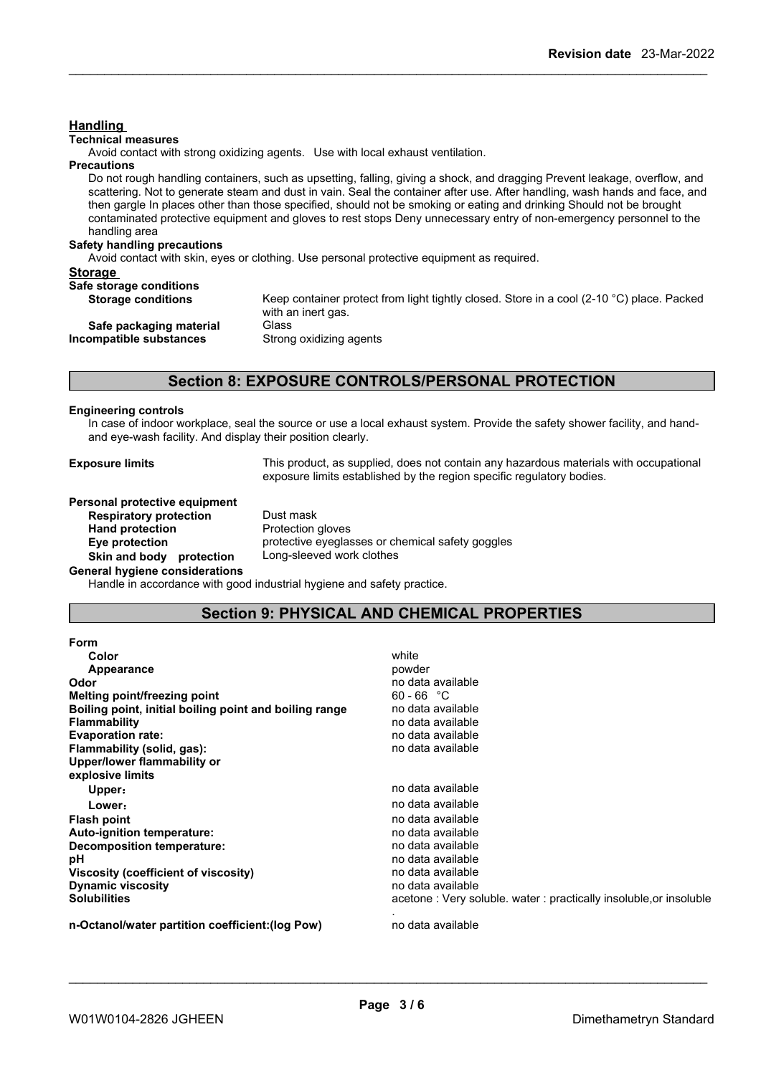### **Handling**

#### **Technical measures**

Avoid contact with strong oxidizing agents. Use with local exhaust ventilation.

### **Precautions**

Do not rough handling containers, such as upsetting, falling, giving a shock, and dragging Prevent leakage, overflow, and scattering. Not to generate steam and dust in vain. Seal the container after use. After handling, wash hands and face, and then gargle In places other than those specified, should not be smoking or eating and drinking Should not be brought contaminated protective equipment and gloves to rest stops Deny unnecessary entry of non-emergency personnel to the handling area

### **Safety handling precautions**

Avoid contact with skin, eyes or clothing. Use personal protective equipment as required.

### **Storage**

| Safe storage conditions   |                                                                                                     |
|---------------------------|-----------------------------------------------------------------------------------------------------|
| <b>Storage conditions</b> | Keep container protect from light tightly closed. Store in a cool (2-10 $^{\circ}$ C) place. Packed |
|                           | with an inert gas.                                                                                  |
| Safe packaging material   | Glass                                                                                               |
| Incompatible substances   | Strong oxidizing agents                                                                             |
|                           |                                                                                                     |
|                           |                                                                                                     |

### **Section 8: EXPOSURE CONTROLS/PERSONAL PROTECTION**

#### **Engineering controls**

In case of indoor workplace, seal the source or use a local exhaust system. Provide the safety shower facility, and handand eye-wash facility. And display their position clearly.

**Exposure limits** This product, as supplied, does not contain any hazardous materials with occupational exposure limits established by the region specific regulatory bodies.

**Personal protective equipment Respiratory protection** Dust mask **Hand protection** Protection gloves **Skin and body protection** Long-sleeved work clothes **General hygiene considerations**

**Eye protection** protective eyeglasses or chemical safety goggles

Handle in accordance with good industrial hygiene and safety practice.

### **Section 9: PHYSICAL AND CHEMICAL PROPERTIES**

| <b>Form</b>                                            |                                                                   |
|--------------------------------------------------------|-------------------------------------------------------------------|
| <b>Color</b>                                           | white                                                             |
| Appearance                                             | powder                                                            |
| Odor                                                   | no data available                                                 |
| Melting point/freezing point                           | $60 - 66$ °C                                                      |
| Boiling point, initial boiling point and boiling range | no data available                                                 |
| <b>Flammability</b>                                    | no data available                                                 |
| <b>Evaporation rate:</b>                               | no data available                                                 |
| Flammability (solid, gas):                             | no data available                                                 |
| Upper/lower flammability or                            |                                                                   |
| explosive limits                                       |                                                                   |
| Upper:                                                 | no data available                                                 |
| Lower:                                                 | no data available                                                 |
| <b>Flash point</b>                                     | no data available                                                 |
| Auto-ignition temperature:                             | no data available                                                 |
| Decomposition temperature:                             | no data available                                                 |
| рH                                                     | no data available                                                 |
| Viscosity (coefficient of viscosity)                   | no data available                                                 |
| <b>Dynamic viscosity</b>                               | no data available                                                 |
| <b>Solubilities</b>                                    | acetone: Very soluble. water: practically insoluble, or insoluble |
| n-Octanol/water partition coefficient: (log Pow)       | no data available                                                 |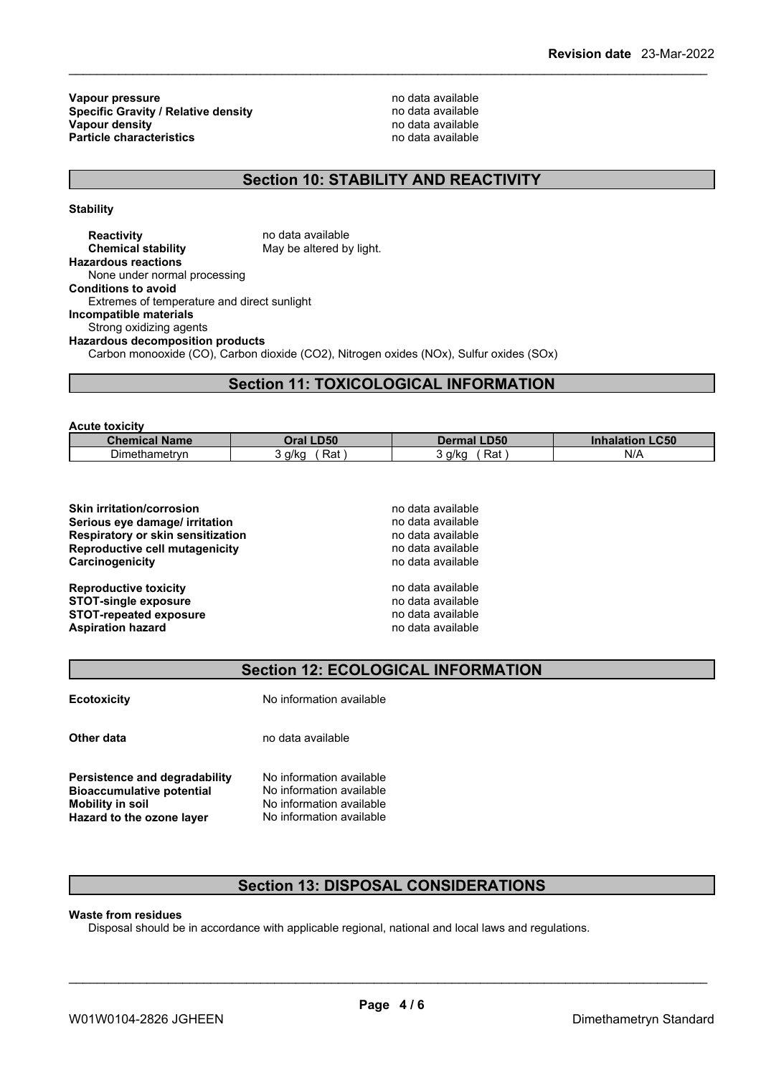**Vapour pressure**<br> **Specific Gravity / Relative density**<br> **Specific Gravity / Relative density**<br> **Property** and the mode available **Specific Gravity / Relative density Vapour density**<br> **Particle characteristics**<br> **Particle characteristics**<br> **Particle characteristics Particle characteristics** 

# **Section 10: STABILITY AND REACTIVITY**

**Stability**

**Reactivity** no data available<br> **Chemical stability** May be altered by May be altered by light. **Hazardous reactions** None under normal processing **Conditions to avoid** Extremes of temperature and direct sunlight **Incompatible materials** Strong oxidizing agents **Hazardous decomposition products** Carbon monooxide (CO), Carbon dioxide (CO2), Nitrogen oxides (NOx), Sulfur oxides (SOx)

### **Section 11: TOXICOLOGICAL INFORMATION**

**Acute toxicity**

| Chem<br>mical.<br>∣Name                   | <b>D50</b><br>)ra | <b>LD50</b><br>Dermal | <b>_C50</b><br>innalation |
|-------------------------------------------|-------------------|-----------------------|---------------------------|
| $\overline{\phantom{0}}$<br>Dimethametryp | Rat<br>a/kc       | a/ka<br>ല ~<br>٦d١    | $N$ //                    |

**Skin irritation/corrosion** no data available **Serious eye damage/ irritation** no data available **Respiratory or skin sensitization** no data available **Reproductive cell mutagenicity** no data available **Carcinogenicity** no data available

**Reproductive toxicity** no data available **STOT-single exposure** no data available

| Skin irritation/corrosion         |  |
|-----------------------------------|--|
| Serious eye damage/ irritation    |  |
| Respiratory or skin sensitization |  |
| Reproductive cell mutagenicity    |  |
| Carcinogenicity                   |  |
|                                   |  |
| <b>Reproductive toxicity</b>      |  |
| <b>STOT-single exposure</b>       |  |

**STOT-repeated exposure** no data available **Aspiration hazard no data available hazard no data available** 

### **Section 12: ECOLOGICAL INFORMATION**

| <b>Ecotoxicity</b>                                                                                                        | No information available                                                                                     |
|---------------------------------------------------------------------------------------------------------------------------|--------------------------------------------------------------------------------------------------------------|
| Other data                                                                                                                | no data available                                                                                            |
| Persistence and degradability<br><b>Bioaccumulative potential</b><br><b>Mobility in soil</b><br>Hazard to the ozone layer | No information available<br>No information available<br>No information available<br>No information available |

### **Section 13: DISPOSAL CONSIDERATIONS**

**Waste from residues**

Disposal should be in accordance with applicable regional, national and local laws and regulations.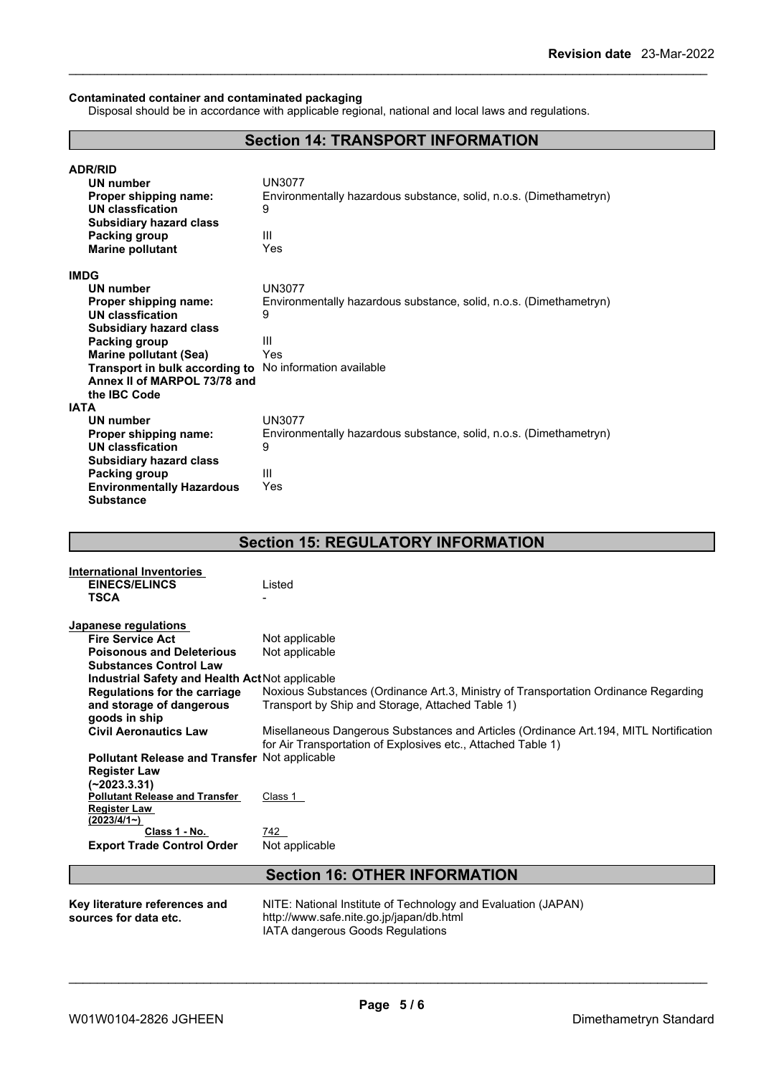#### **Contaminated container and contaminated packaging**

Disposal should be in accordance with applicable regional, national and local laws and regulations.

# **Section 14: TRANSPORT INFORMATION**

| <b>ADR/RID</b>                   |                                                                    |
|----------------------------------|--------------------------------------------------------------------|
| <b>UN number</b>                 | <b>UN3077</b>                                                      |
| Proper shipping name:            | Environmentally hazardous substance, solid, n.o.s. (Dimethametryn) |
| UN classfication                 | 9                                                                  |
| <b>Subsidiary hazard class</b>   |                                                                    |
| Packing group                    | Ш                                                                  |
| <b>Marine pollutant</b>          | Yes                                                                |
|                                  |                                                                    |
| <b>IMDG</b>                      |                                                                    |
| <b>UN number</b>                 | <b>UN3077</b>                                                      |
| Proper shipping name:            | Environmentally hazardous substance, solid, n.o.s. (Dimethametryn) |
| <b>UN classfication</b>          | 9                                                                  |
| <b>Subsidiary hazard class</b>   |                                                                    |
| Packing group                    | Ш                                                                  |
| <b>Marine pollutant (Sea)</b>    | Yes                                                                |
| Transport in bulk according to   | No information available                                           |
| Annex II of MARPOL 73/78 and     |                                                                    |
| the IBC Code                     |                                                                    |
| <b>IATA</b>                      |                                                                    |
| UN number                        | <b>UN3077</b>                                                      |
| Proper shipping name:            | Environmentally hazardous substance, solid, n.o.s. (Dimethametryn) |
| <b>UN classfication</b>          | 9                                                                  |
| <b>Subsidiary hazard class</b>   |                                                                    |
| Packing group                    | Ш                                                                  |
| <b>Environmentally Hazardous</b> | Yes                                                                |
| <b>Substance</b>                 |                                                                    |
|                                  |                                                                    |

# **Section 15: REGULATORY INFORMATION**

| <b>International Inventories</b>                     |                                                                                        |
|------------------------------------------------------|----------------------------------------------------------------------------------------|
| <b>EINECS/ELINCS</b>                                 | Listed                                                                                 |
| <b>TSCA</b>                                          |                                                                                        |
|                                                      |                                                                                        |
| Japanese regulations                                 |                                                                                        |
| <b>Fire Service Act</b>                              | Not applicable                                                                         |
| <b>Poisonous and Deleterious</b>                     | Not applicable                                                                         |
| <b>Substances Control Law</b>                        |                                                                                        |
| Industrial Safety and Health Act Not applicable      |                                                                                        |
| <b>Regulations for the carriage</b>                  | Noxious Substances (Ordinance Art.3, Ministry of Transportation Ordinance Regarding    |
| and storage of dangerous                             | Transport by Ship and Storage, Attached Table 1)                                       |
| goods in ship                                        |                                                                                        |
| <b>Civil Aeronautics Law</b>                         | Misellaneous Dangerous Substances and Articles (Ordinance Art. 194, MITL Nortification |
|                                                      | for Air Transportation of Explosives etc., Attached Table 1)                           |
| <b>Pollutant Release and Transfer Not applicable</b> |                                                                                        |
| <b>Register Law</b>                                  |                                                                                        |
| (~2023.3.31)                                         |                                                                                        |
| <b>Pollutant Release and Transfer</b>                | Class 1                                                                                |
| <b>Register Law</b>                                  |                                                                                        |
| $(2023/4/1-)$                                        |                                                                                        |
| Class 1 - No.                                        | 742                                                                                    |
| <b>Export Trade Control Order</b>                    | Not applicable                                                                         |
|                                                      |                                                                                        |
|                                                      | <b>Section 16: OTHER INFORMATION</b>                                                   |
|                                                      |                                                                                        |
| Key literature references and                        | NITE: National Institute of Technology and Evaluation (JAPAN)                          |
| sources for data etc.                                | http://www.safe.nite.go.jp/japan/db.html                                               |

IATA dangerous Goods Regulations